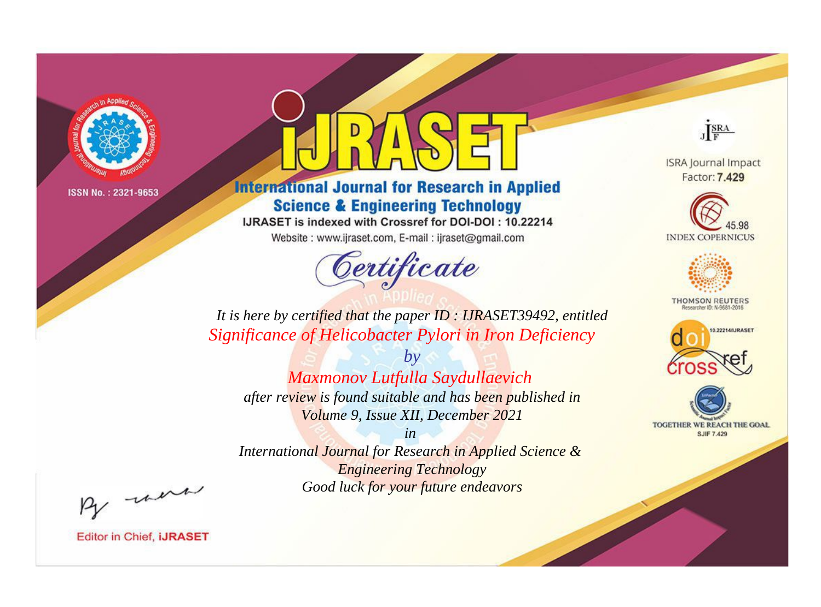

## **International Journal for Research in Applied Science & Engineering Technology**

IJRASET is indexed with Crossref for DOI-DOI: 10.22214

Website: www.ijraset.com, E-mail: ijraset@gmail.com



JERA

**ISRA Journal Impact** Factor: 7.429





**THOMSON REUTERS** 



TOGETHER WE REACH THE GOAL **SJIF 7.429** 

*It is here by certified that the paper ID : IJRASET39492, entitled Significance of Helicobacter Pylori in Iron Deficiency*

> *by Maxmonov Lutfulla Saydullaevich*

*after review is found suitable and has been published in Volume 9, Issue XII, December 2021*

*in* 

*International Journal for Research in Applied Science & Engineering Technology Good luck for your future endeavors*

By morn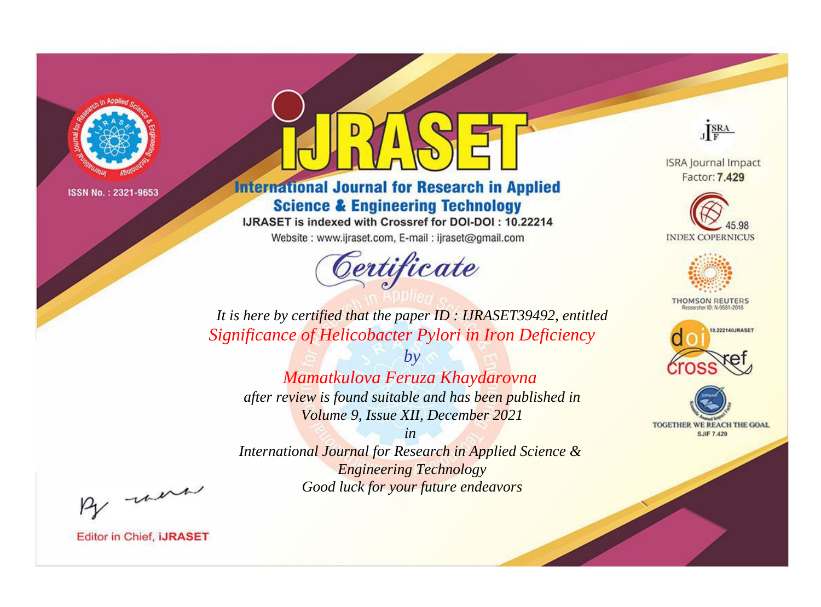

## **International Journal for Research in Applied Science & Engineering Technology**

IJRASET is indexed with Crossref for DOI-DOI: 10.22214

Website: www.ijraset.com, E-mail: ijraset@gmail.com



JERA

**ISRA Journal Impact** Factor: 7.429





**THOMSON REUTERS** 



TOGETHER WE REACH THE GOAL **SJIF 7.429** 

*It is here by certified that the paper ID : IJRASET39492, entitled Significance of Helicobacter Pylori in Iron Deficiency*

*by*

# *Mamatkulova Feruza Khaydarovna*

*after review is found suitable and has been published in Volume 9, Issue XII, December 2021*

*in* 

*International Journal for Research in Applied Science & Engineering Technology Good luck for your future endeavors*

By morn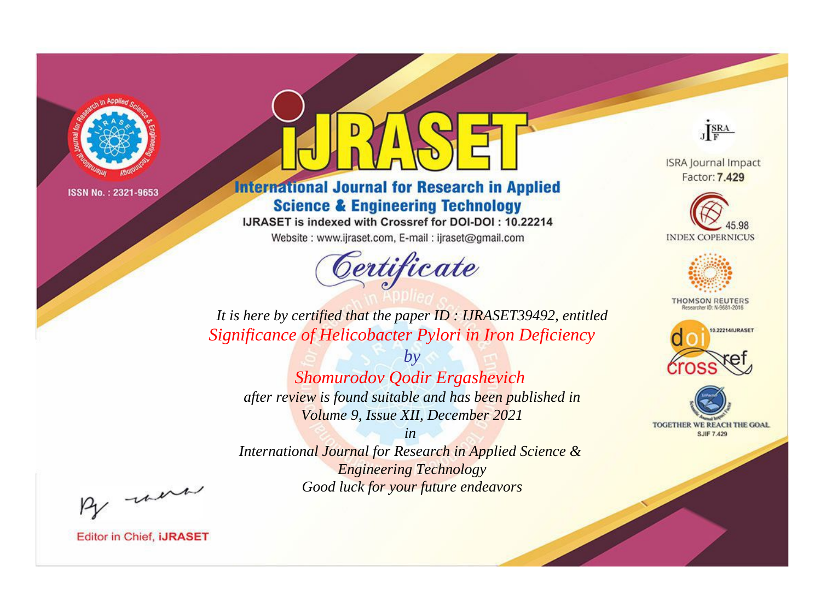

## **International Journal for Research in Applied Science & Engineering Technology**

IJRASET is indexed with Crossref for DOI-DOI: 10.22214

Website: www.ijraset.com, E-mail: ijraset@gmail.com



JERA

**ISRA Journal Impact** Factor: 7.429





**THOMSON REUTERS** 



TOGETHER WE REACH THE GOAL **SJIF 7.429** 

It is here by certified that the paper ID : IJRASET39492, entitled Significance of Helicobacter Pylori in Iron Deficiency

 $b\nu$ Shomurodov Qodir Ergashevich after review is found suitable and has been published in Volume 9, Issue XII, December 2021

 $in$ International Journal for Research in Applied Science & **Engineering Technology** Good luck for your future endeavors

By morn